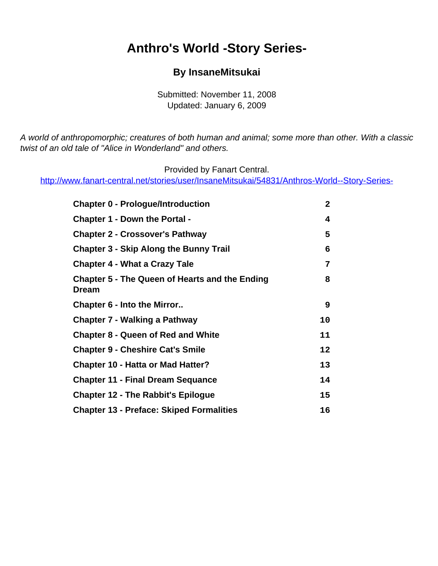#### <span id="page-0-0"></span>**Anthro's World -Story Series-**

#### **By InsaneMitsukai**

Submitted: November 11, 2008 Updated: January 6, 2009

A world of anthropomorphic; creatures of both human and animal; some more than other. With a classic twist of an old tale of "Alice in Wonderland" and others.

Provided by Fanart Central.

[http://www.fanart-central.net/stories/user/InsaneMitsukai/54831/Anthros-World--Story-Series-](#page-0-0)

| <b>Chapter 0 - Prologue/Introduction</b>                       | $\mathbf{2}$ |
|----------------------------------------------------------------|--------------|
| <b>Chapter 1 - Down the Portal -</b>                           | 4            |
| <b>Chapter 2 - Crossover's Pathway</b>                         | 5            |
| <b>Chapter 3 - Skip Along the Bunny Trail</b>                  | 6            |
| <b>Chapter 4 - What a Crazy Tale</b>                           | 7            |
| <b>Chapter 5 - The Queen of Hearts and the Ending</b><br>Dream | 8            |
| Chapter 6 - Into the Mirror                                    | 9            |
| <b>Chapter 7 - Walking a Pathway</b>                           | 10           |
| <b>Chapter 8 - Queen of Red and White</b>                      | 11           |
| <b>Chapter 9 - Cheshire Cat's Smile</b>                        | 12           |
| <b>Chapter 10 - Hatta or Mad Hatter?</b>                       | 13           |
| <b>Chapter 11 - Final Dream Sequance</b>                       | 14           |
| <b>Chapter 12 - The Rabbit's Epilogue</b>                      | 15           |
| <b>Chapter 13 - Preface: Skiped Formalities</b>                | 16           |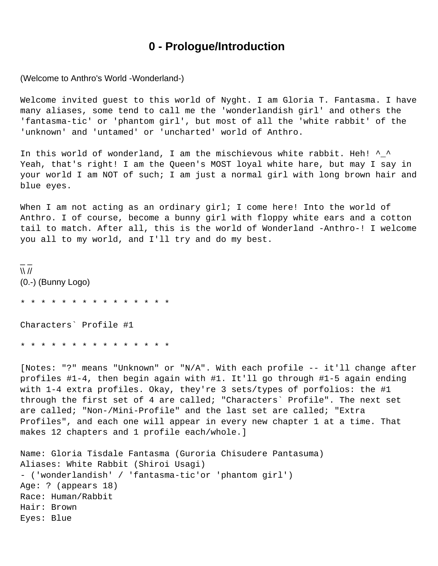#### **0 - Prologue/Introduction**

<span id="page-1-0"></span>(Welcome to Anthro's World -Wonderland-)

Welcome invited guest to this world of Nyght. I am Gloria T. Fantasma. I have many aliases, some tend to call me the 'wonderlandish girl' and others the 'fantasma-tic' or 'phantom girl', but most of all the 'white rabbit' of the 'unknown' and 'untamed' or 'uncharted' world of Anthro.

In this world of wonderland, I am the mischievous white rabbit. Heh! ^\_^ Yeah, that's right! I am the Queen's MOST loyal white hare, but may I say in your world I am NOT of such; I am just a normal girl with long brown hair and blue eyes.

When I am not acting as an ordinary girl; I come here! Into the world of Anthro. I of course, become a bunny girl with floppy white ears and a cotton tail to match. After all, this is the world of Wonderland -Anthro-! I welcome you all to my world, and I'll try and do my best.

 $\overline{\phantom{a}}$  $\mathcal{N}$ (0.-) (Bunny Logo)

\* \* \* \* \* \* \* \* \* \* \* \* \* \* \*

Characters` Profile #1

\* \* \* \* \* \* \* \* \* \* \* \* \* \* \*

[Notes: "?" means "Unknown" or "N/A". With each profile -- it'll change after profiles #1-4, then begin again with #1. It'll go through #1-5 again ending with 1-4 extra profiles. Okay, they're 3 sets/types of porfolios: the #1 through the first set of 4 are called; "Characters` Profile". The next set are called; "Non-/Mini-Profile" and the last set are called; "Extra Profiles", and each one will appear in every new chapter 1 at a time. That makes 12 chapters and 1 profile each/whole.]

```
Name: Gloria Tisdale Fantasma (Guroria Chisudere Pantasuma)
Aliases: White Rabbit (Shiroi Usagi)
- ('wonderlandish' / 'fantasma-tic'or 'phantom girl')
Age: ? (appears 18)
Race: Human/Rabbit
Hair: Brown
Eyes: Blue
```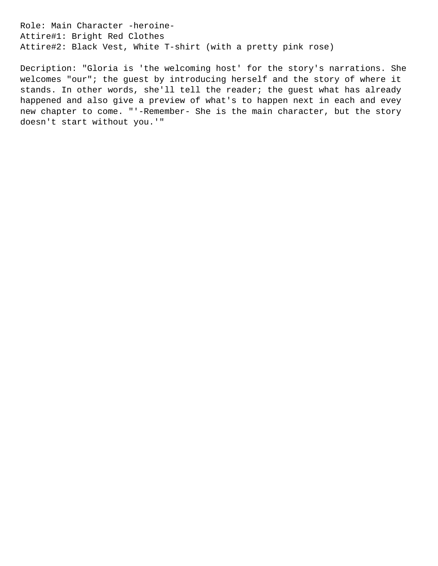Role: Main Character -heroine-Attire#1: Bright Red Clothes Attire#2: Black Vest, White T-shirt (with a pretty pink rose)

Decription: "Gloria is 'the welcoming host' for the story's narrations. She welcomes "our"; the guest by introducing herself and the story of where it stands. In other words, she'll tell the reader; the guest what has already happened and also give a preview of what's to happen next in each and evey new chapter to come. "'-Remember- She is the main character, but the story doesn't start without you.'"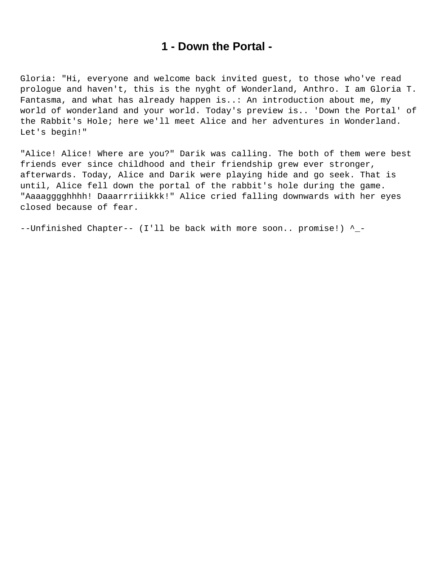#### **1 - Down the Portal -**

<span id="page-3-0"></span>Gloria: "Hi, everyone and welcome back invited guest, to those who've read prologue and haven't, this is the nyght of Wonderland, Anthro. I am Gloria T. Fantasma, and what has already happen is..: An introduction about me, my world of wonderland and your world. Today's preview is.. 'Down the Portal' of the Rabbit's Hole; here we'll meet Alice and her adventures in Wonderland. Let's begin!"

"Alice! Alice! Where are you?" Darik was calling. The both of them were best friends ever since childhood and their friendship grew ever stronger, afterwards. Today, Alice and Darik were playing hide and go seek. That is until, Alice fell down the portal of the rabbit's hole during the game. "Aaaagggghhhh! Daaarrriiikkk!" Alice cried falling downwards with her eyes closed because of fear.

--Unfinished Chapter-- (I'll be back with more soon.. promise!) ^\_-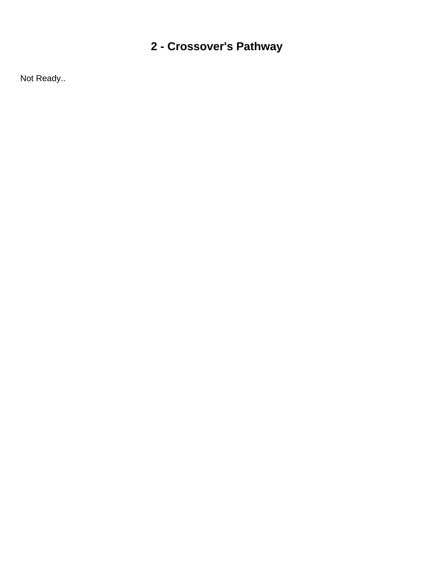## <span id="page-4-0"></span>**2 - Crossover's Pathway**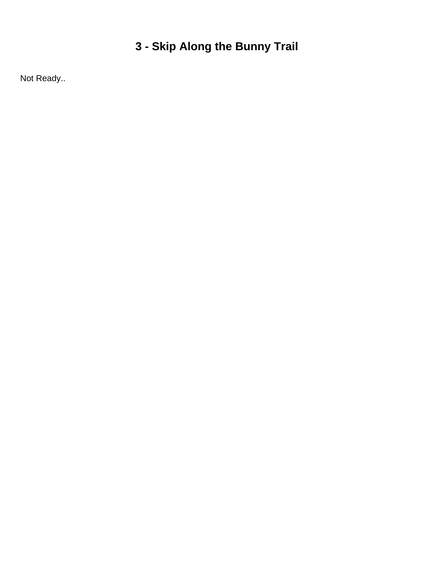## <span id="page-5-0"></span>**3 - Skip Along the Bunny Trail**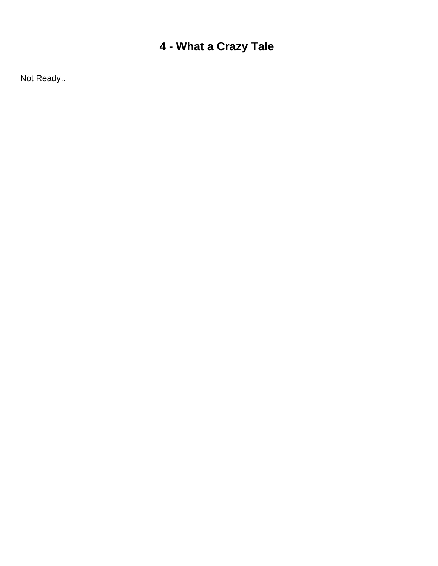## <span id="page-6-0"></span>**4 - What a Crazy Tale**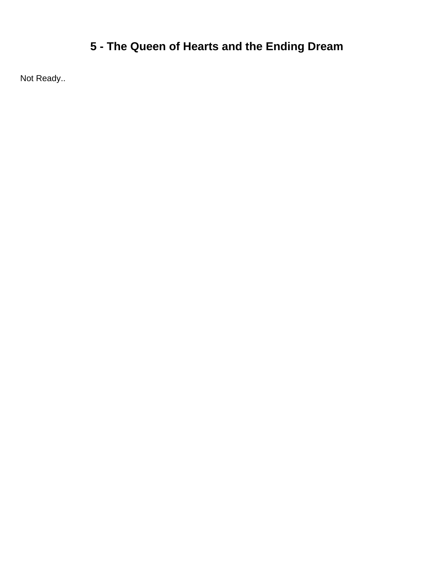## <span id="page-7-0"></span>**5 - The Queen of Hearts and the Ending Dream**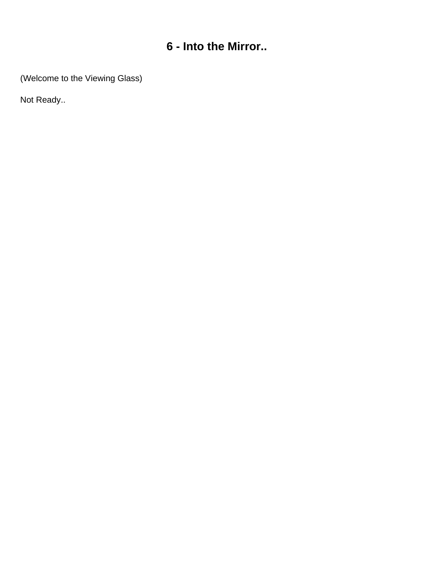### **6 - Into the Mirror..**

<span id="page-8-0"></span>(Welcome to the Viewing Glass)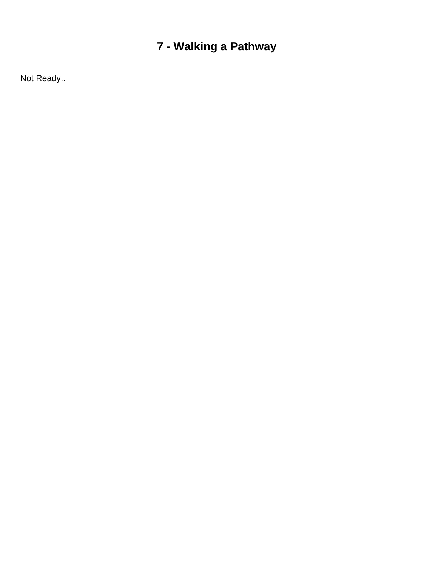## <span id="page-9-0"></span>**7 - Walking a Pathway**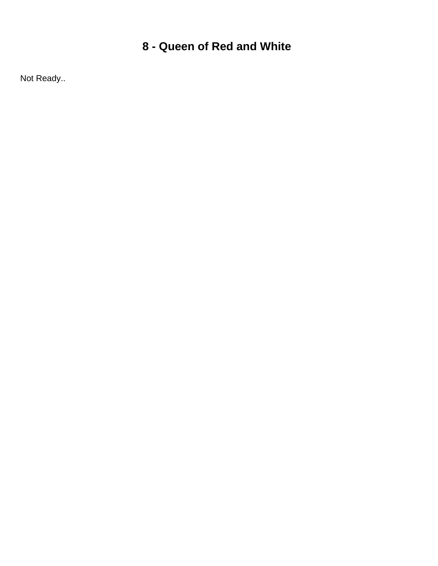### <span id="page-10-0"></span>**8 - Queen of Red and White**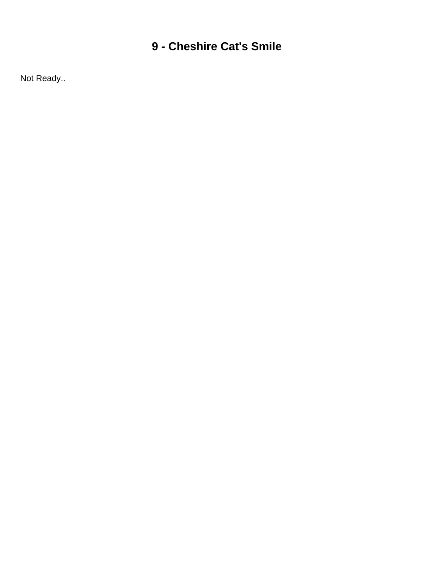### <span id="page-11-0"></span>**9 - Cheshire Cat's Smile**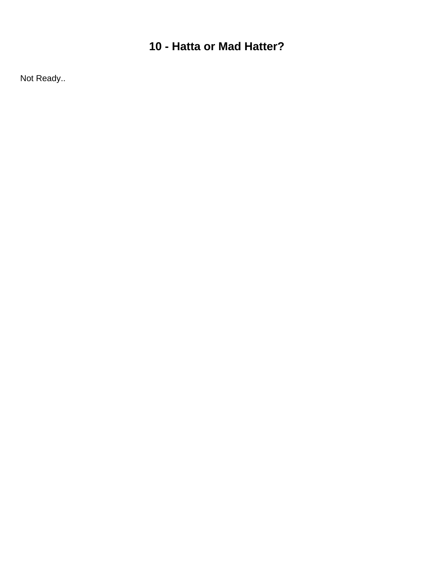### <span id="page-12-0"></span>**10 - Hatta or Mad Hatter?**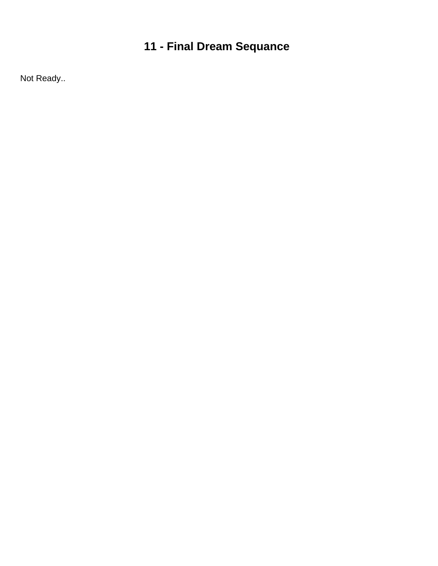## <span id="page-13-0"></span>**11 - Final Dream Sequance**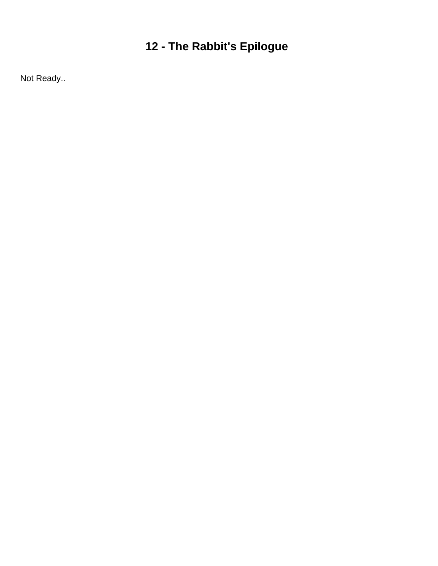# <span id="page-14-0"></span>**12 - The Rabbit's Epilogue**